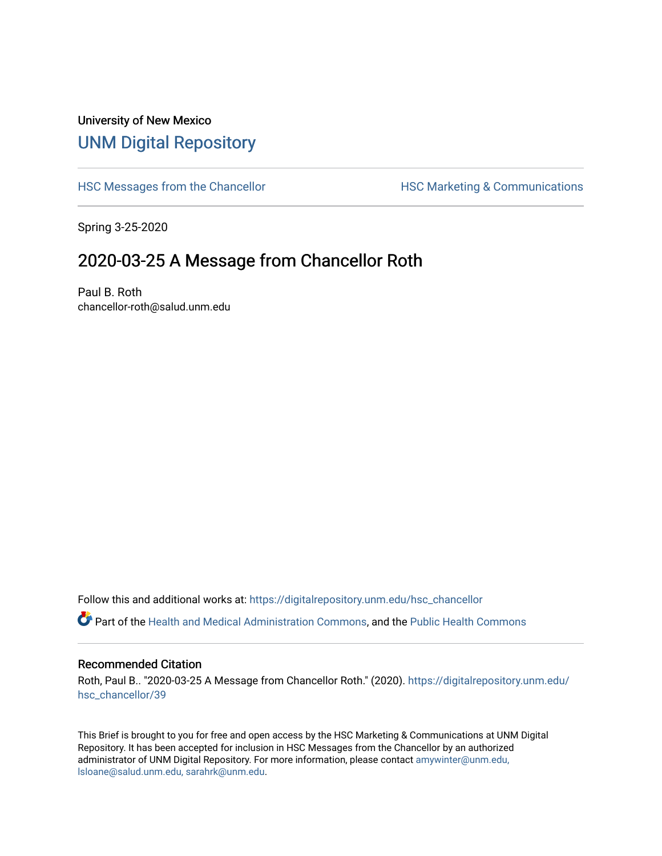# University of New Mexico [UNM Digital Repository](https://digitalrepository.unm.edu/)

[HSC Messages from the Chancellor](https://digitalrepository.unm.edu/hsc_chancellor) **HSC Marketing & Communications** 

Spring 3-25-2020

# 2020-03-25 A Message from Chancellor Roth

Paul B. Roth chancellor-roth@salud.unm.edu

Follow this and additional works at: [https://digitalrepository.unm.edu/hsc\\_chancellor](https://digitalrepository.unm.edu/hsc_chancellor?utm_source=digitalrepository.unm.edu%2Fhsc_chancellor%2F39&utm_medium=PDF&utm_campaign=PDFCoverPages) 

Part of the [Health and Medical Administration Commons](http://network.bepress.com/hgg/discipline/663?utm_source=digitalrepository.unm.edu%2Fhsc_chancellor%2F39&utm_medium=PDF&utm_campaign=PDFCoverPages), and the [Public Health Commons](http://network.bepress.com/hgg/discipline/738?utm_source=digitalrepository.unm.edu%2Fhsc_chancellor%2F39&utm_medium=PDF&utm_campaign=PDFCoverPages) 

#### Recommended Citation

Roth, Paul B.. "2020-03-25 A Message from Chancellor Roth." (2020). [https://digitalrepository.unm.edu/](https://digitalrepository.unm.edu/hsc_chancellor/39?utm_source=digitalrepository.unm.edu%2Fhsc_chancellor%2F39&utm_medium=PDF&utm_campaign=PDFCoverPages) [hsc\\_chancellor/39](https://digitalrepository.unm.edu/hsc_chancellor/39?utm_source=digitalrepository.unm.edu%2Fhsc_chancellor%2F39&utm_medium=PDF&utm_campaign=PDFCoverPages) 

This Brief is brought to you for free and open access by the HSC Marketing & Communications at UNM Digital Repository. It has been accepted for inclusion in HSC Messages from the Chancellor by an authorized administrator of UNM Digital Repository. For more information, please contact [amywinter@unm.edu,](mailto:amywinter@unm.edu,%20lsloane@salud.unm.edu,%20sarahrk@unm.edu) [lsloane@salud.unm.edu, sarahrk@unm.edu.](mailto:amywinter@unm.edu,%20lsloane@salud.unm.edu,%20sarahrk@unm.edu)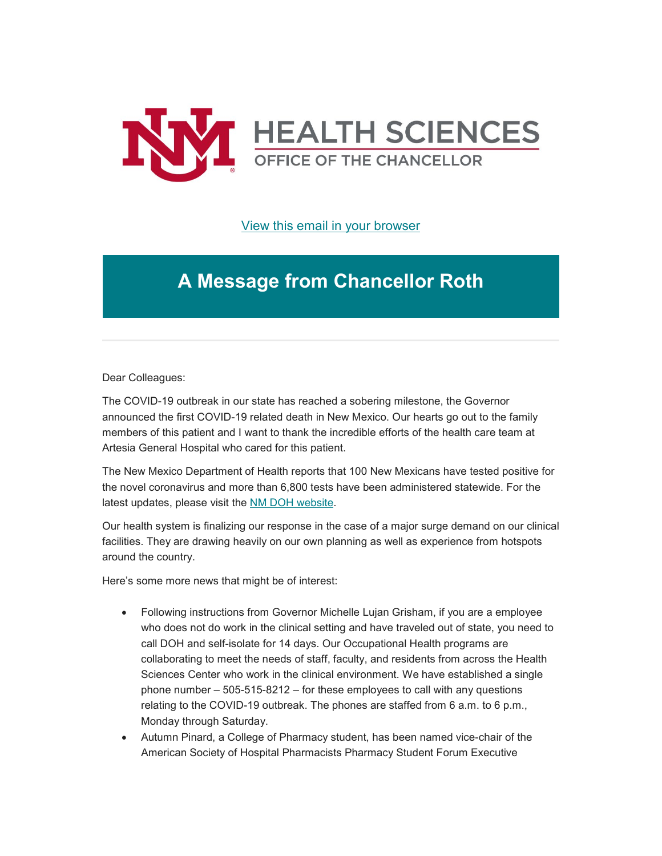

[View this email in your browser](https://mailchi.mp/31d62fdc4e43/message-from-the-chancellor-coronavirus-4356855?e=b4bbfca2c0)

# **A Message from Chancellor Roth**

Dear Colleagues:

The COVID-19 outbreak in our state has reached a sobering milestone, the Governor announced the first COVID-19 related death in New Mexico. Our hearts go out to the family members of this patient and I want to thank the incredible efforts of the health care team at Artesia General Hospital who cared for this patient.

The New Mexico Department of Health reports that 100 New Mexicans have tested positive for the novel coronavirus and more than 6,800 tests have been administered statewide. For the latest updates, please visit the [NM DOH website.](https://unm.us19.list-manage.com/track/click?u=59ce53c1a4dedb490bac78648&id=ef0ea94a2d&e=b4bbfca2c0)

Our health system is finalizing our response in the case of a major surge demand on our clinical facilities. They are drawing heavily on our own planning as well as experience from hotspots around the country.

Here's some more news that might be of interest:

- Following instructions from Governor Michelle Lujan Grisham, if you are a employee who does not do work in the clinical setting and have traveled out of state, you need to call DOH and self-isolate for 14 days. Our Occupational Health programs are collaborating to meet the needs of staff, faculty, and residents from across the Health Sciences Center who work in the clinical environment. We have established a single phone number – 505-515-8212 – for these employees to call with any questions relating to the COVID-19 outbreak. The phones are staffed from 6 a.m. to 6 p.m., Monday through Saturday.
- Autumn Pinard, a College of Pharmacy student, has been named vice-chair of the American Society of Hospital Pharmacists Pharmacy Student Forum Executive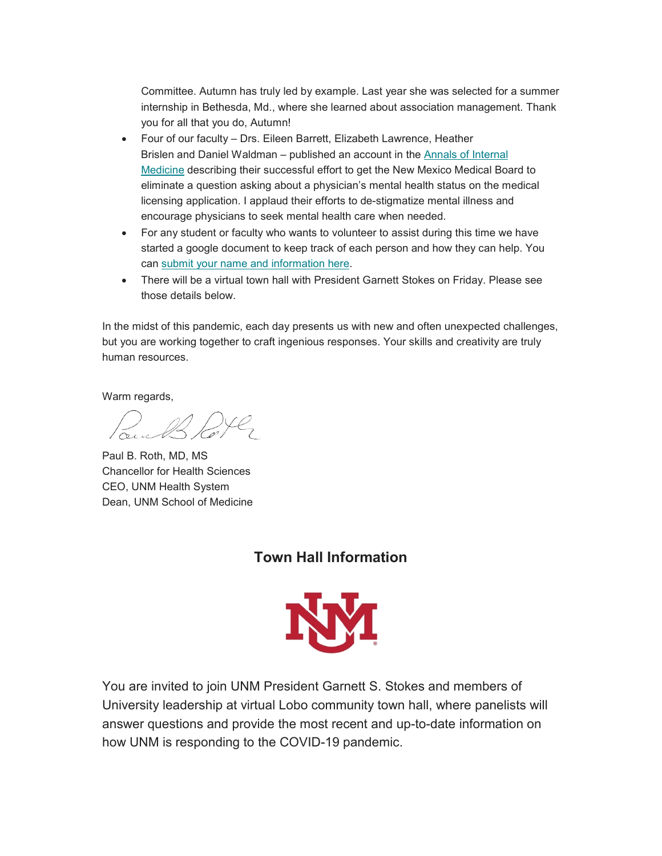Committee. Autumn has truly led by example. Last year she was selected for a summer internship in Bethesda, Md., where she learned about association management. Thank you for all that you do, Autumn!

- Four of our faculty Drs. Eileen Barrett, Elizabeth Lawrence, Heather Brislen and Daniel Waldman – published an account in the [Annals of Internal](https://unm.us19.list-manage.com/track/click?u=59ce53c1a4dedb490bac78648&id=537dde232c&e=b4bbfca2c0)  [Medicine](https://unm.us19.list-manage.com/track/click?u=59ce53c1a4dedb490bac78648&id=537dde232c&e=b4bbfca2c0) describing their successful effort to get the New Mexico Medical Board to eliminate a question asking about a physician's mental health status on the medical licensing application. I applaud their efforts to de-stigmatize mental illness and encourage physicians to seek mental health care when needed.
- For any student or faculty who wants to volunteer to assist during this time we have started a google document to keep track of each person and how they can help. You can [submit your name and information here.](https://unm.us19.list-manage.com/track/click?u=59ce53c1a4dedb490bac78648&id=6cafed3770&e=b4bbfca2c0)
- There will be a virtual town hall with President Garnett Stokes on Friday. Please see those details below.

In the midst of this pandemic, each day presents us with new and often unexpected challenges, but you are working together to craft ingenious responses. Your skills and creativity are truly human resources.

Warm regards,

Pour B Port

Paul B. Roth, MD, MS Chancellor for Health Sciences CEO, UNM Health System Dean, UNM School of Medicine

## **Town Hall Information**



You are invited to join UNM President Garnett S. Stokes and members of University leadership at virtual Lobo community town hall, where panelists will answer questions and provide the most recent and up-to-date information on how UNM is responding to the COVID-19 pandemic.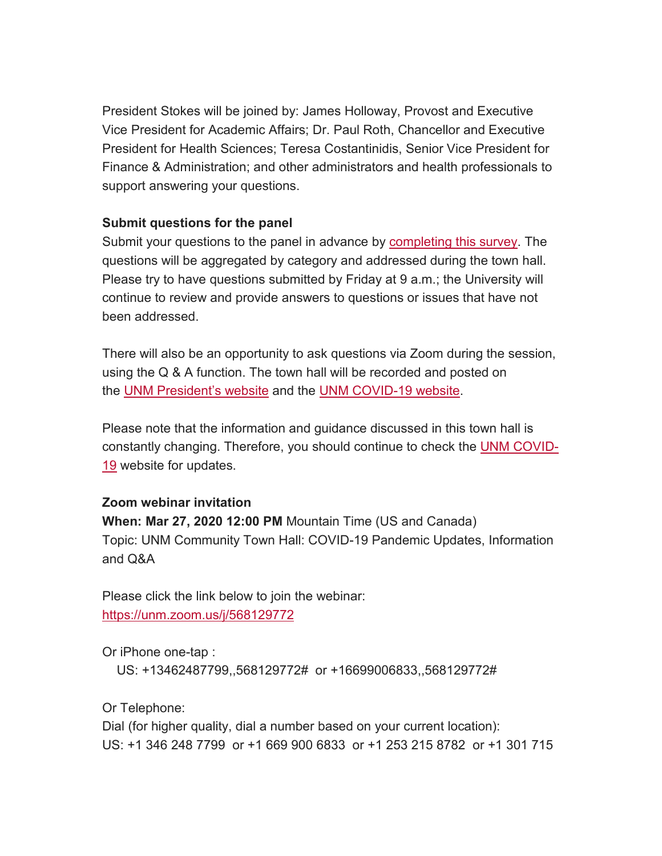President Stokes will be joined by: James Holloway, Provost and Executive Vice President for Academic Affairs; Dr. Paul Roth, Chancellor and Executive President for Health Sciences; Teresa Costantinidis, Senior Vice President for Finance & Administration; and other administrators and health professionals to support answering your questions.

### **Submit questions for the panel**

Submit your questions to the panel in advance by [completing this survey.](https://unm.us19.list-manage.com/track/click?u=59ce53c1a4dedb490bac78648&id=8256defa26&e=b4bbfca2c0) The questions will be aggregated by category and addressed during the town hall. Please try to have questions submitted by Friday at 9 a.m.; the University will continue to review and provide answers to questions or issues that have not been addressed.

There will also be an opportunity to ask questions via Zoom during the session, using the Q & A function. The town hall will be recorded and posted on the [UNM President's website](https://unm.us19.list-manage.com/track/click?u=59ce53c1a4dedb490bac78648&id=b47febfc67&e=b4bbfca2c0) and the [UNM COVID-19 website.](https://unm.us19.list-manage.com/track/click?u=59ce53c1a4dedb490bac78648&id=22554f3143&e=b4bbfca2c0)

Please note that the information and guidance discussed in this town hall is constantly changing. Therefore, you should continue to check the [UNM COVID-](https://unm.us19.list-manage.com/track/click?u=59ce53c1a4dedb490bac78648&id=0e725e2138&e=b4bbfca2c0)[19](https://unm.us19.list-manage.com/track/click?u=59ce53c1a4dedb490bac78648&id=0e725e2138&e=b4bbfca2c0) website for updates.

### **Zoom webinar invitation**

**When: Mar 27, 2020 12:00 PM** Mountain Time (US and Canada) Topic: UNM Community Town Hall: COVID-19 Pandemic Updates, Information and Q&A

Please click the link below to join the webinar: [https://unm.zoom.us/j/568129772](https://unm.us19.list-manage.com/track/click?u=59ce53c1a4dedb490bac78648&id=822349b235&e=b4bbfca2c0)

Or iPhone one-tap :

US: +13462487799,,568129772# or +16699006833,,568129772#

Or Telephone:

Dial (for higher quality, dial a number based on your current location): US: +1 346 248 7799 or +1 669 900 6833 or +1 253 215 8782 or +1 301 715